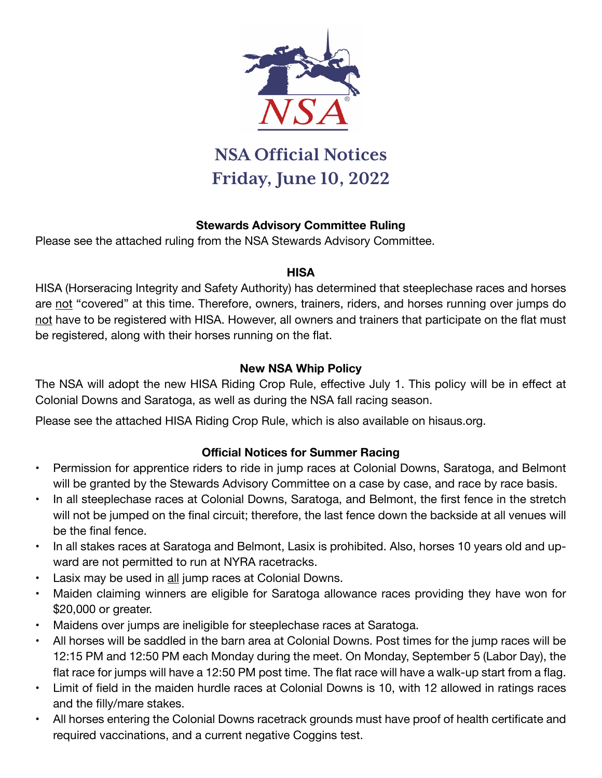

## **NSA Official Notices Friday, June 10, 2022**

#### **Stewards Advisory Committee Ruling**

Please see the attached ruling from the NSA Stewards Advisory Committee.

#### **HISA**

HISA (Horseracing Integrity and Safety Authority) has determined that steeplechase races and horses are not "covered" at this time. Therefore, owners, trainers, riders, and horses running over jumps do not have to be registered with HISA. However, all owners and trainers that participate on the flat must be registered, along with their horses running on the flat.

#### **New NSA Whip Policy**

The NSA will adopt the new HISA Riding Crop Rule, effective July 1. This policy will be in effect at Colonial Downs and Saratoga, as well as during the NSA fall racing season.

Please see the attached HISA Riding Crop Rule, which is also available on hisaus.org.

#### **Official Notices for Summer Racing**

- Permission for apprentice riders to ride in jump races at Colonial Downs, Saratoga, and Belmont will be granted by the Stewards Advisory Committee on a case by case, and race by race basis.
- In all steeplechase races at Colonial Downs, Saratoga, and Belmont, the first fence in the stretch will not be jumped on the final circuit; therefore, the last fence down the backside at all venues will be the final fence.
- In all stakes races at Saratoga and Belmont, Lasix is prohibited. Also, horses 10 years old and upward are not permitted to run at NYRA racetracks.
- Lasix may be used in all jump races at Colonial Downs.
- Maiden claiming winners are eligible for Saratoga allowance races providing they have won for \$20,000 or greater.
- Maidens over jumps are ineligible for steeplechase races at Saratoga.
- All horses will be saddled in the barn area at Colonial Downs. Post times for the jump races will be 12:15 PM and 12:50 PM each Monday during the meet. On Monday, September 5 (Labor Day), the flat race for jumps will have a 12:50 PM post time. The flat race will have a walk-up start from a flag.
- Limit of field in the maiden hurdle races at Colonial Downs is 10, with 12 allowed in ratings races and the filly/mare stakes.
- All horses entering the Colonial Downs racetrack grounds must have proof of health certificate and required vaccinations, and a current negative Coggins test.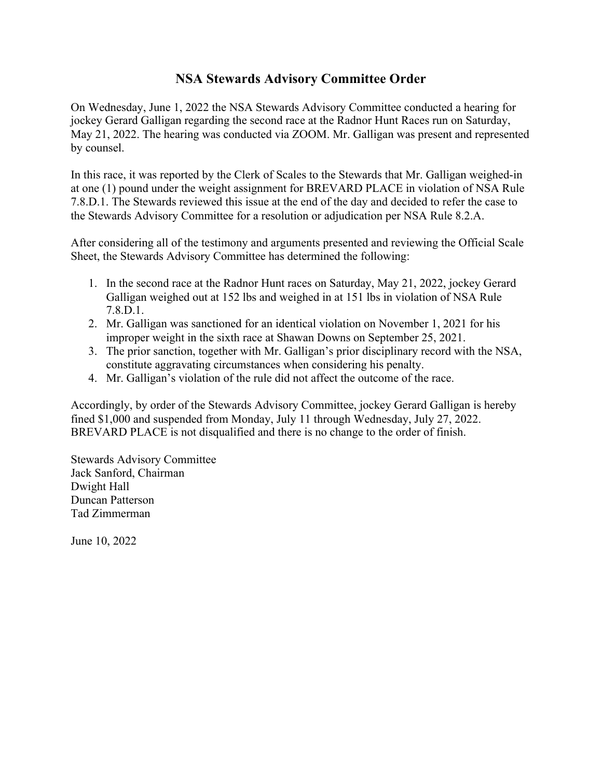#### **NSA Stewards Advisory Committee Order**

On Wednesday, June 1, 2022 the NSA Stewards Advisory Committee conducted a hearing for jockey Gerard Galligan regarding the second race at the Radnor Hunt Races run on Saturday, May 21, 2022. The hearing was conducted via ZOOM. Mr. Galligan was present and represented by counsel.

In this race, it was reported by the Clerk of Scales to the Stewards that Mr. Galligan weighed-in at one (1) pound under the weight assignment for BREVARD PLACE in violation of NSA Rule 7.8.D.1. The Stewards reviewed this issue at the end of the day and decided to refer the case to the Stewards Advisory Committee for a resolution or adjudication per NSA Rule 8.2.A.

After considering all of the testimony and arguments presented and reviewing the Official Scale Sheet, the Stewards Advisory Committee has determined the following:

- 1. In the second race at the Radnor Hunt races on Saturday, May 21, 2022, jockey Gerard Galligan weighed out at 152 lbs and weighed in at 151 lbs in violation of NSA Rule 7.8.D.1.
- 2. Mr. Galligan was sanctioned for an identical violation on November 1, 2021 for his improper weight in the sixth race at Shawan Downs on September 25, 2021.
- 3. The prior sanction, together with Mr. Galligan's prior disciplinary record with the NSA, constitute aggravating circumstances when considering his penalty.
- 4. Mr. Galligan's violation of the rule did not affect the outcome of the race.

Accordingly, by order of the Stewards Advisory Committee, jockey Gerard Galligan is hereby fined \$1,000 and suspended from Monday, July 11 through Wednesday, July 27, 2022. BREVARD PLACE is not disqualified and there is no change to the order of finish.

Stewards Advisory Committee Jack Sanford, Chairman Dwight Hall Duncan Patterson Tad Zimmerman

June 10, 2022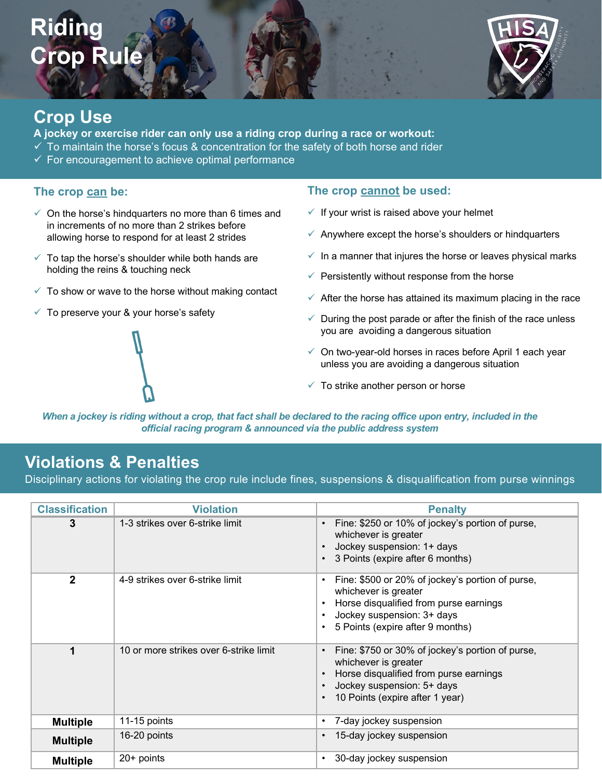# **Riding Crop Rule**



### **Crop Use**

**A jockey or exercise rider can only use a riding crop during a race or workout:** 

- $\checkmark$  To maintain the horse's focus & concentration for the safety of both horse and rider
- $\checkmark$  For encouragement to achieve optimal performance

#### **The crop can be:**

- $\checkmark$  On the horse's hindquarters no more than 6 times and in increments of no more than 2 strikes before allowing horse to respond for at least 2 strides
- $\checkmark$  To tap the horse's shoulder while both hands are holding the reins & touching neck
- $\checkmark$  To show or wave to the horse without making contact
- $\checkmark$  To preserve your & your horse's safety

#### **The crop cannot be used:**

- $\checkmark$  If your wrist is raised above your helmet
- $\checkmark$  Anywhere except the horse's shoulders or hindquarters
- $\checkmark$  In a manner that injures the horse or leaves physical marks
- $\checkmark$  Persistently without response from the horse
- $\checkmark$  After the horse has attained its maximum placing in the race
- $\checkmark$  During the post parade or after the finish of the race unless you are avoiding a dangerous situation
- $\checkmark$  On two-year-old horses in races before April 1 each year unless you are avoiding a dangerous situation
- $\checkmark$  To strike another person or horse

official racing program & announced via the public address system *When a jockey is riding without a crop, that fact shall be declared to the racing office upon entry, included in the* 

### **Violations & Penalties**

Disciplinary actions for violating the crop rule include fines, suspensions & disqualification from purse winnings

**official racing program & announced via the racetrack's public address system**

| <b>Classification</b> | <b>Violation</b>                       | <b>Penalty</b>                                                                                                                                                                       |
|-----------------------|----------------------------------------|--------------------------------------------------------------------------------------------------------------------------------------------------------------------------------------|
| 3                     | 1-3 strikes over 6-strike limit        | Fine: \$250 or 10% of jockey's portion of purse,<br>whichever is greater<br>Jockey suspension: 1+ days<br>3 Points (expire after 6 months)                                           |
| $\mathbf{2}$          | 4-9 strikes over 6-strike limit        | Fine: \$500 or 20% of jockey's portion of purse,<br>whichever is greater<br>Horse disqualified from purse earnings<br>Jockey suspension: 3+ days<br>5 Points (expire after 9 months) |
| 1                     | 10 or more strikes over 6-strike limit | Fine: \$750 or 30% of jockey's portion of purse,<br>whichever is greater<br>Horse disqualified from purse earnings<br>Jockey suspension: 5+ days<br>10 Points (expire after 1 year)  |
| <b>Multiple</b>       | 11-15 points                           | 7-day jockey suspension                                                                                                                                                              |
| <b>Multiple</b>       | 16-20 points                           | 15-day jockey suspension                                                                                                                                                             |
| <b>Multiple</b>       | $20+$ points                           | 30-day jockey suspension<br>٠                                                                                                                                                        |